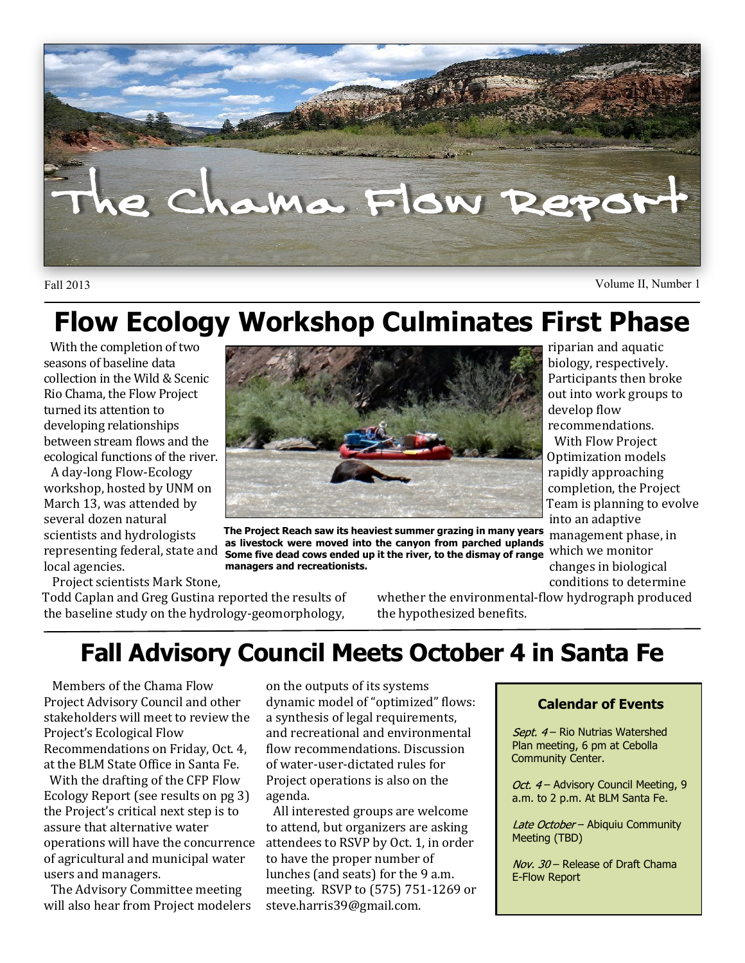

Fall 2013 Volume II, Number 1

riparian and aquatic biology, respectively. Participants then broke out into work groups to

develop flow recommendations. With Flow Project Optimization models rapidly approaching completion, the Project Team is planning to evolve

into an adaptive

conditions to determine

# **Flow Ecology Workshop Culminates First Phase**

With the completion of two seasons of baseline data collection in the Wild & Scenic Rio Chama, the Flow Project turned its attention to developing relationships between stream flows and the ecological functions of the river.

A day-long Flow-Ecology workshop, hosted by UNM on March 13, was attended by several dozen natural scientists and hydrologists representing federal, state and local agencies.

Project scientists Mark Stone,

Todd Caplan and Greg Gustina reported the results of the baseline study on the hydrology-geomorphology,

whether the environmental-flow hydrograph produced the hypothesized benefits.

# **Fall Advisory Council Meets October 4 in Santa Fe**

Members of the Chama Flow Project Advisory Council and other stakeholders will meet to review the Project's Ecological Flow Recommendations on Friday, Oct. 4, at the BLM State Office in Santa Fe. With the drafting of the CFP Flow

Ecology Report (see results on pg 3) the Project's critical next step is to assure that alternative water operations will have the concurrence of agricultural and municipal water users and managers.

The Advisory Committee meeting will also hear from Project modelers on the outputs of its systems dynamic model of "optimized" flows: a synthesis of legal requirements, and recreational and environmental flow recommendations. Discussion of water-user-dictated rules for Project operations is also on the agenda.

All interested groups are welcome to attend, but organizers are asking attendees to RSVP by Oct. 1, in order to have the proper number of lunches (and seats) for the 9 a.m. meeting. RSVP to (575) 751-1269 or steve.harris39@gmail.com.

#### **Calendar of Events**

Sept.  $4-$  Rio Nutrias Watershed Plan meeting, 6 pm at Cebolla Community Center.

Oct. 4 - Advisory Council Meeting, 9 a.m. to 2 p.m. At BLM Santa Fe.

Late October - Abiquiu Community Meeting (TBD)

Nov. 30 - Release of Draft Chama E-Flow Report

management phase, in which we monitor changes in biological **The Project Reach saw its heaviest summer grazing in many years, as livestock were moved into the canyon from parched uplands. Some five dead cows ended up it the river, to the dismay of range managers and recreationists.**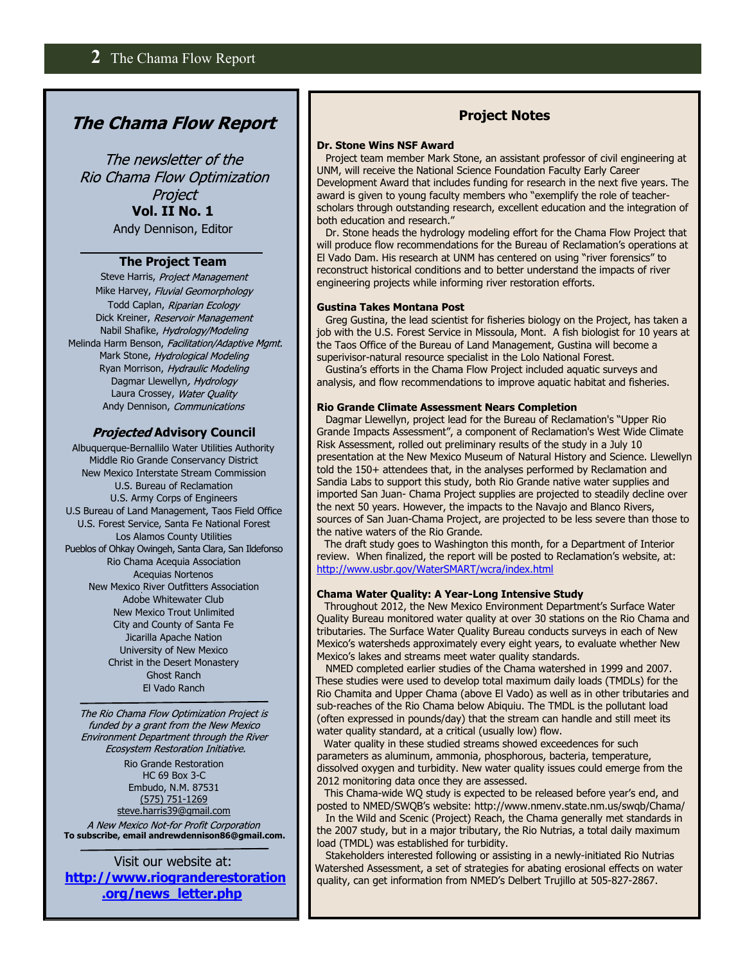## **The Chama Flow Report**

The newsletter of the Rio Chama Flow Optimization Project **Vol. II No. 1** Andy Dennison, Editor

#### **The Project Team**

Steve Harris, Project Management Mike Harvey, Fluvial Geomorphology Todd Caplan, Riparian Ecology Dick Kreiner, Reservoir Management Nabil Shafike, Hydrology/Modeling Melinda Harm Benson, Facilitation/Adaptive Mgmt. Mark Stone, Hydrological Modeling Ryan Morrison, Hydraulic Modeling Dagmar Llewellyn, Hydrology Laura Crossey, Water Quality Andy Dennison, Communications

#### *Projected* Advisory Council

Albuquerque-Bernallilo Water Utilities Authority Middle Rio Grande Conservancy District New Mexico Interstate Stream Commission U.S. Bureau of Reclamation U.S. Army Corps of Engineers U.S Bureau of Land Management, Taos Field Office U.S. Forest Service, Santa Fe National Forest Los Alamos County Utilities Pueblos of Ohkay Owingeh, Santa Clara, San Ildefonso Rio Chama Acequia Association Acequias Nortenos New Mexico River Outfitters Association Adobe Whitewater Club New Mexico Trout Unlimited City and County of Santa Fe Jicarilla Apache Nation University of New Mexico Christ in the Desert Monastery Ghost Ranch El Vado Ranch

The Rio Chama Flow Optimization Project is funded by a grant from the New Mexico Environment Department through the River Ecosystem Restoration Initiative.

> Rio Grande Restoration HC 69 Box 3-C Embudo, N.M. 87531 (575) 751-1269 steve.harris39@gmail.com

A New Mexico Not-for Profit Corporation **To subscribe, email andrewdennison86@gmail.com.**

Visit our website at: **[http://www.riogranderestoration](http://www.riogranderestoration.org/news_letter.php) [.org/news\\_letter.php](http://www.riogranderestoration.org/news_letter.php)**

### **Project Notes**

#### **Dr. Stone Wins NSF Award**

Project team member Mark Stone, an assistant professor of civil engineering at UNM, will receive the National Science Foundation Faculty Early Career Development Award that includes funding for research in the next five years. The award is given to young faculty members who "exemplify the role of teacherscholars through outstanding research, excellent education and the integration of both education and research."

Dr. Stone heads the hydrology modeling effort for the Chama Flow Project that will produce flow recommendations for the Bureau of Reclamation's operations at El Vado Dam. His research at UNM has centered on using "river forensics" to reconstruct historical conditions and to better understand the impacts of river engineering projects while informing river restoration efforts.

#### **Gustina Takes Montana Post**

Greg Gustina, the lead scientist for fisheries biology on the Project, has taken a job with the U.S. Forest Service in Missoula, Mont. A fish biologist for 10 years at the Taos Office of the Bureau of Land Management, Gustina will become a superivisor-natural resource specialist in the Lolo National Forest.

Gustina's efforts in the Chama Flow Project included aquatic surveys and analysis, and flow recommendations to improve aquatic habitat and fisheries.

#### **Rio Grande Climate Assessment Nears Completion**

Dagmar Llewellyn, project lead for the Bureau of Reclamation's "Upper Rio Grande Impacts Assessment", a component of Reclamation's West Wide Climate Risk Assessment, rolled out preliminary results of the study in a July 10 presentation at the New Mexico Museum of Natural History and Science. Llewellyn told the 150+ attendees that, in the analyses performed by Reclamation and Sandia Labs to support this study, both Rio Grande native water supplies and imported San Juan- Chama Project supplies are projected to steadily decline over the next 50 years. However, the impacts to the Navajo and Blanco Rivers, sources of San Juan-Chama Project, are projected to be less severe than those to the native waters of the Rio Grande.

The draft study goes to Washington this month, for a Department of Interior review. When finalized, the report will be posted to Reclamation's website, at: <http://www.usbr.gov/WaterSMART/wcra/index.html>

#### **Chama Water Quality: A Year-Long Intensive Study**

Throughout 2012, the New Mexico Environment Department's Surface Water Quality Bureau monitored water quality at over 30 stations on the Rio Chama and tributaries. The Surface Water Quality Bureau conducts surveys in each of New Mexico's watersheds approximately every eight years, to evaluate whether New Mexico's lakes and streams meet water quality standards.

NMED completed earlier studies of the Chama watershed in 1999 and 2007. These studies were used to develop total maximum daily loads (TMDLs) for the Rio Chamita and Upper Chama (above El Vado) as well as in other tributaries and sub-reaches of the Rio Chama below Abiquiu. The TMDL is the pollutant load (often expressed in pounds/day) that the stream can handle and still meet its water quality standard, at a critical (usually low) flow.

Water quality in these studied streams showed exceedences for such parameters as aluminum, ammonia, phosphorous, bacteria, temperature, dissolved oxygen and turbidity. New water quality issues could emerge from the 2012 monitoring data once they are assessed.

This Chama-wide WQ study is expected to be released before year's end, and posted to NMED/SWQB's website: http://www.nmenv.state.nm.us/swqb/Chama/

In the Wild and Scenic (Project) Reach, the Chama generally met standards in the 2007 study, but in a major tributary, the Rio Nutrias, a total daily maximum load (TMDL) was established for turbidity.

Stakeholders interested following or assisting in a newly-initiated Rio Nutrias Watershed Assessment, a set of strategies for abating erosional effects on water quality, can get information from NMED's Delbert Trujillo at 505-827-2867.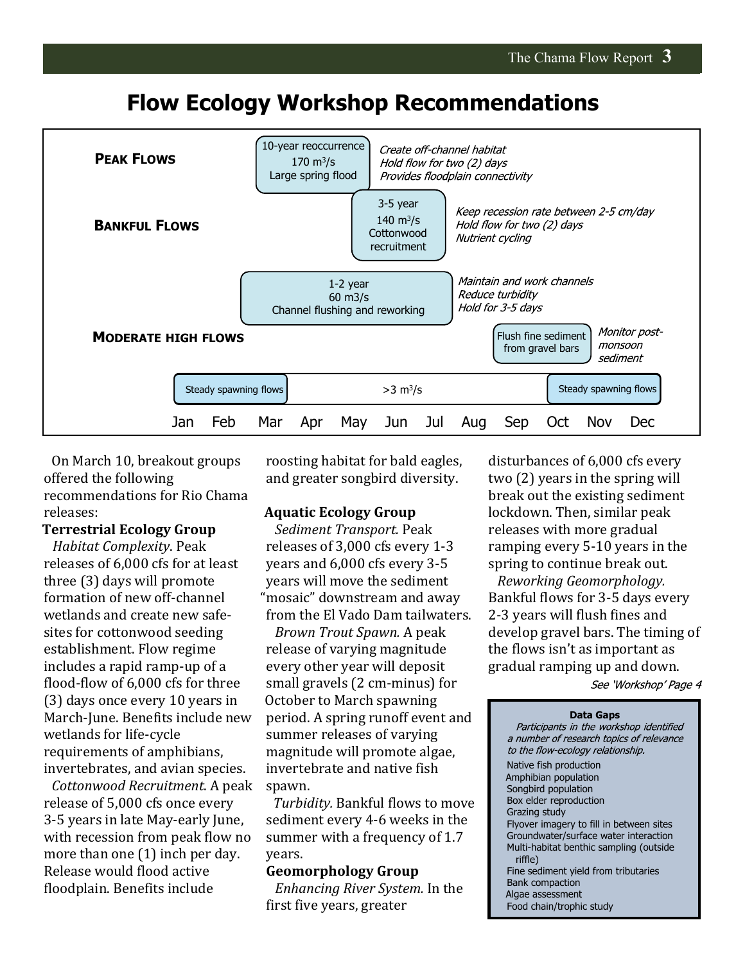## **Flow Ecology Workshop Recommendations**



On March 10, breakout groups offered the following recommendations for Rio Chama releases:

#### **Terrestrial Ecology Group**

*Habitat Complexity*. Peak releases of 6,000 cfs for at least three (3) days will promote formation of new off-channel wetlands and create new safesites for cottonwood seeding establishment. Flow regime includes a rapid ramp-up of a flood-flow of 6,000 cfs for three (3) days once every 10 years in March-June. Benefits include new wetlands for life-cycle requirements of amphibians, invertebrates, and avian species.

*Cottonwood Recruitment*. A peak release of 5,000 cfs once every 3-5 years in late May-early June, with recession from peak flow no more than one (1) inch per day. Release would flood active floodplain. Benefits include

roosting habitat for bald eagles, and greater songbird diversity.

#### **Aquatic Ecology Group**

*Sediment Transport.* Peak releases of 3,000 cfs every 1-3 years and 6,000 cfs every 3-5 years will move the sediment "mosaic" downstream and away from the El Vado Dam tailwaters.

*Brown Trout Spawn.* A peak release of varying magnitude every other year will deposit small gravels (2 cm-minus) for October to March spawning period. A spring runoff event and summer releases of varying magnitude will promote algae, invertebrate and native fish spawn.

*Turbidity.* Bankful flows to move sediment every 4-6 weeks in the summer with a frequency of 1.7 years.

#### **Geomorphology Group**

*Enhancing River System.* In the first five years, greater

disturbances of 6,000 cfs every two (2) years in the spring will break out the existing sediment lockdown. Then, similar peak releases with more gradual ramping every 5-10 years in the spring to continue break out.

*Reworking Geomorphology.* Bankful flows for 3-5 days every 2-3 years will flush fines and develop gravel bars. The timing of the flows isn't as important as gradual ramping up and down.

See 'Workshop' Page 4

#### **Data Gaps** Participants in the workshop identified a number of research topics of relevance to the flow-ecology relationship. Native fish production Amphibian population Songbird population Box elder reproduction Grazing study Flyover imagery to fill in between sites Groundwater/surface water interaction Multi-habitat benthic sampling (outside riffle) Fine sediment yield from tributaries Bank compaction Algae assessment Food chain/trophic study